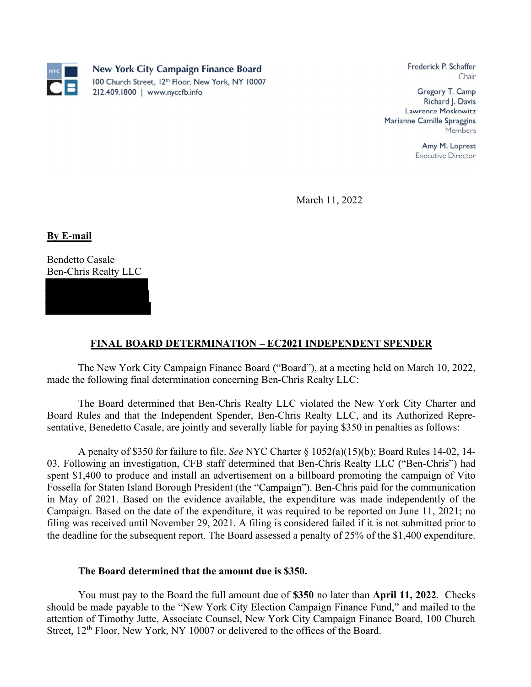

Frederick P. Schaffer Chair

Gregory T. Camp Richard J. Davis Lawrence Moskowitz Marianne Camille Spraggins Members

> Amy M. Loprest **Executive Director**

March 11, 2022

By E-mail<br>Bendetto Casale Ben-Chris Realty LLC

## FINAL BOARD DETERMINATION – EC2021 INDEPENDENT SPENDER

The New York City Campaign Finance Board ("Board"), at a meeting held on March 10, 2022, made the following final determination concerning Ben-Chris Realty LLC:

The Board determined that Ben-Chris Realty LLC violated the New York City Charter and Board Rules and that the Independent Spender, Ben-Chris Realty LLC, and its Authorized Representative, Benedetto Casale, are jointly and severally liable for paying \$350 in penalties as follows:

 A penalty of \$350 for failure to file. See NYC Charter § 1052(a)(15)(b); Board Rules 14-02, 14- **EXECUTE:**<br> **EXECUTE:**<br> **EXECUTE:**<br> **EXECUTE:**<br> **EXECUTE:**<br> **EXECUTE:**<br> **EXECUTE:**<br> **EXECUTE:**<br> **EXECUTE:**<br> **EXECUTE:**<br> **EXECUTE:**<br> **EXECUTE:**<br> **EXECUTE:**<br> **EXECUTE:**<br> **EXECUTE:**<br> **EXECUTE:**<br> **EXECUTE:**<br> **EXECUTE:**<br> **EXECU** spent \$1,400 to produce and install an advertisement on a billboard promoting the campaign of Vito Fossella for Staten Island Borough President (the "Campaign"). Ben-Chris paid for the communication in May of 2021. Based on the evidence available, the expenditure was made independently of the Campaign. Based on the date of the expenditure, it was required to be reported on June 11, 2021; no filing was received until November 29, 2021. A filing is considered failed if it is not submitted prior to the deadline for the subsequent report. The Board assessed a penalty of 25% of the \$1,400 expenditure.

## The Board determined that the amount due is \$350.

You must pay to the Board the full amount due of \$350 no later than April 11, 2022. Checks should be made payable to the "New York City Election Campaign Finance Fund," and mailed to the attention of Timothy Jutte, Associate Counsel, New York City Campaign Finance Board, 100 Church Street, 12<sup>th</sup> Floor, New York, NY 10007 or delivered to the offices of the Board.